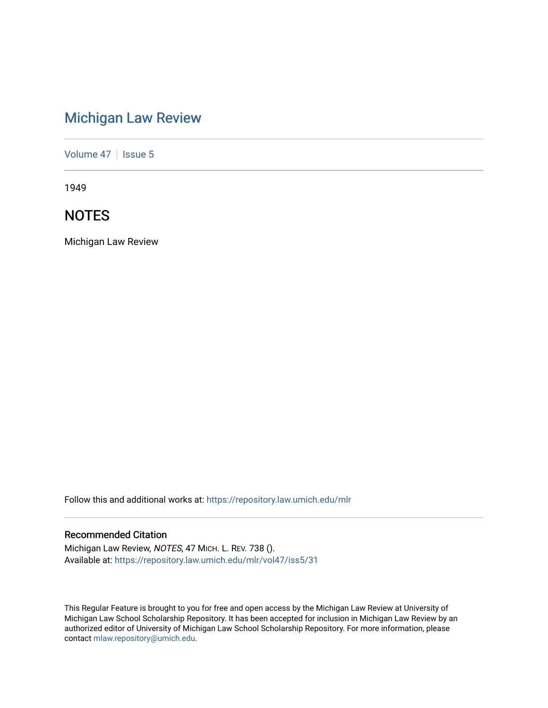# [Michigan Law Review](https://repository.law.umich.edu/mlr)

[Volume 47](https://repository.law.umich.edu/mlr/vol47) | [Issue 5](https://repository.law.umich.edu/mlr/vol47/iss5)

1949

# **NOTES**

Michigan Law Review

Follow this and additional works at: [https://repository.law.umich.edu/mlr](https://repository.law.umich.edu/mlr?utm_source=repository.law.umich.edu%2Fmlr%2Fvol47%2Fiss5%2F31&utm_medium=PDF&utm_campaign=PDFCoverPages) 

# Recommended Citation

Michigan Law Review, NOTES, 47 MICH. L. REV. 738 (). Available at: [https://repository.law.umich.edu/mlr/vol47/iss5/31](https://repository.law.umich.edu/mlr/vol47/iss5/31?utm_source=repository.law.umich.edu%2Fmlr%2Fvol47%2Fiss5%2F31&utm_medium=PDF&utm_campaign=PDFCoverPages) 

This Regular Feature is brought to you for free and open access by the Michigan Law Review at University of Michigan Law School Scholarship Repository. It has been accepted for inclusion in Michigan Law Review by an authorized editor of University of Michigan Law School Scholarship Repository. For more information, please contact [mlaw.repository@umich.edu](mailto:mlaw.repository@umich.edu).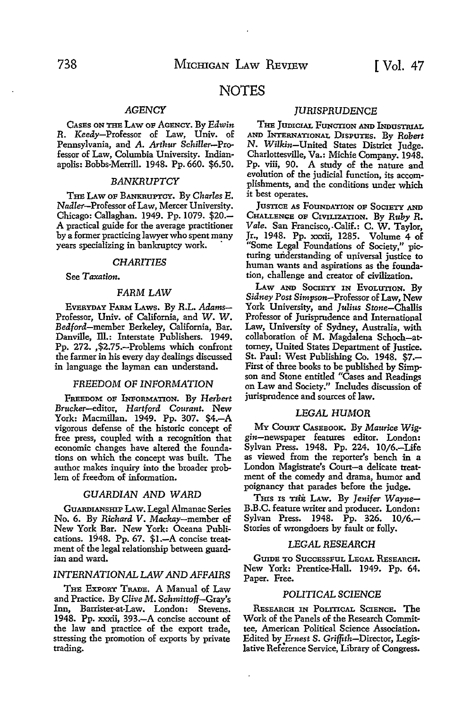# NOTES

# *AGENCY*

CAsEs ON THE LAW OF AGENCY. By *Edwin R.* Keedy-Professor of Law, Univ. of Pennsylvania, and A. *Arthur Schiller-Pro*fessor of Law, Columbia University. Indianapolis: Bobbs-Merrill. 1948. Pp. 660. \$6.50.

#### *BANKRUPTCY*

THE LAw OF BANKRUPTCY. By *Charles* E. Nadler-Professor of Law, Mercer University. Chicago: Callaghan. 1949. Pp. 1079. \$20.- A practical guide for the average practitioner by a former practicing lawyer who spent many years specializing in bankruptcy work. ·

#### *CHARITIES*

See *Taxation.* 

#### *FARM* LAW

EVERYDAY FARM LAws. By R.L. *Adams-*Professor, Univ. of California, and W. W. Bedford-member Berkeley, California, Bar. Danville, Ill.: Interstate Publishers. 1949. Pp. 272. ,\$2.75.-Problems which confront the farmer in his every day dealings discussed in language the layman can understand.

#### *FREEDOM* OF *INFORMATION*

FREBDOM OF INFORMATION. By *Herbert*  Brucker-editor, *Hartford Courant.* New York: Macmillan. 1949. Pp. 307. \$4.-A vigorous defense of the historic concept of free press, coupled with a recognition that economic changes have altered the foundations on which the concept was built. The author makes inquiry into the broader problem of freedom of information.

#### *GUARDIAN AND WARD*

GUARDIANSHIP LAW. Legal Almanac Series No. 6. By *Richard* V. Mackay-member of New York Bar. New York: Oceana Publications. 1948. Pp. 67. \$1.-A concise treatment of the legal relationship between guardian and ward.

### *INTERNATIONALLAWANDAFFAIRS*

THE EXPORT TRADE. A Manual of Law and Practice. By *Clive* M. *Schmittoff-Gray's*  Inn, Barrister-at-Law. London: Stevens. 1948. Pp. xxxii, 393.-A concise account of the law and practice of the export trade, stressing the promotion of exports by private trading.

### *JURISPRUDENCE*

THE JUDICIAL FUNCTION AND INDUSTRIAL AND INTERNATIONAL DISPUTES. By *Robert*  N. Wilkin-United States District Judge. Charlottesville, Va.: Michie Company. 1948. Pp. viii, 90. A study of the nature and evolution of the judicial function, its accomplishments, and the conditions under which it best operates.

JusTICE AS FOUNDATION OF SOCIETY AND CHALLENGE OF CIVILIZATION. By *Ruby R. Vale.* San Francisco,.Calif.: C. W. Taylor, Jr., 1948. Pp. xxxii, 1285. Volume 4 of "Some Legal Foundations of Society," picturing understanding of upiversal justice to human wants and aspirations as the foundation, challenge and creator of civilization.

LAW AND SOCIETY IN EVOLUTION. By *Sidney Post* Simpson-Professor of Law, New York University, and *Julius* Stone-Challis Professor of Jurisprudence and International Law, University of Sydney, Australia, with collaboration of M. Magdalena Schoch-attorney, United States Department of Justice. St. Paul: West Publishing Co. 1948. \$7.- First of three books to be published by Simpson and Stone entitled "Cases and Readings on Law and Society." Includes discussion of jurisprudence and sources of law.

#### LEGAL *HUMOR*

MY CouRT CASEBOOK. By *Maurice Wig*gin-newspaper features editor. London: Sylvan Press. 1948. Pp. 224. 10/6.-Life as viewed from the reporter's bench in a London Magistrate's Court-a delicate treatment of the comedy and drama, humor and poignancy that parades before the judge.

T<sub>HIS</sub> Is the Law. By Jenifer Wayne-B.B.C. feature writer and producer. London: Sylvan Press. 1948. Pp. 326. 10/6.- Stories of wrongdoers by fault or folly.

#### LEGAL *RESEARCH*

GUIDE TO SUCCESSFUL LEGAL RESEARCH. New York: Prentice-Hall. 1949. Pp. 64. Paper. Free.

#### POLITICAL *SCIENCE*

RESEARCH IN POLITICAL SCIENCE. The Work of the Panels of the Research Committee, American Political Science Association. Edited by *Ernest* S. Griffith-Director, Legislative Reference Service, Library of Congress.